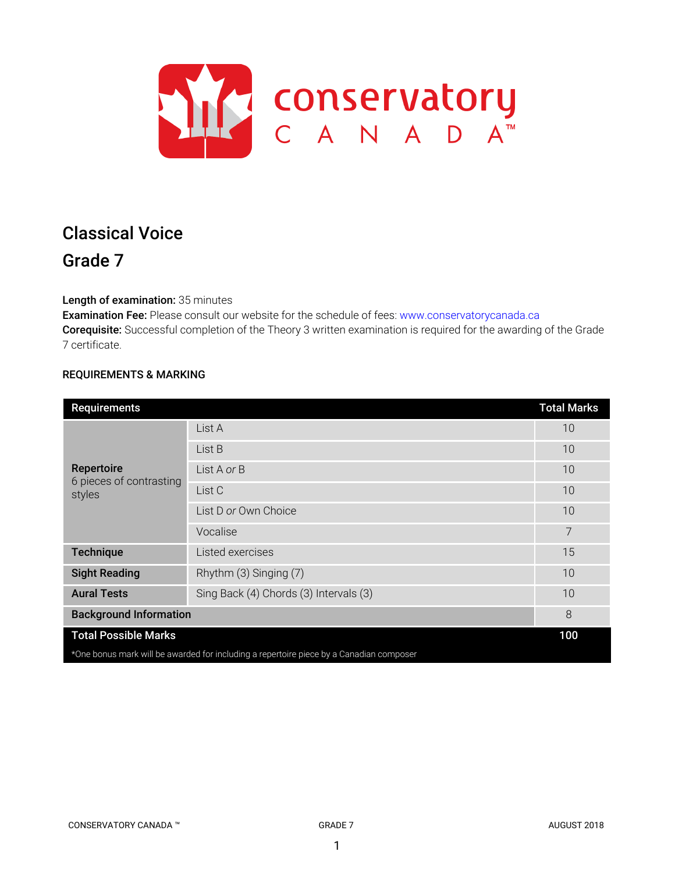

# Classical Voice Grade 7

Length of examination: 35 minutes

Examination Fee: Please consult our website for the schedule of fees: www.conservatorycanada.ca Corequisite: Successful completion of the Theory 3 written examination is required for the awarding of the Grade 7 certificate.

# REQUIREMENTS & MARKING

| <b>Requirements</b>                                                                     |                                        | <b>Total Marks</b> |  |
|-----------------------------------------------------------------------------------------|----------------------------------------|--------------------|--|
| Repertoire<br>6 pieces of contrasting<br>styles                                         | List A                                 | 10                 |  |
|                                                                                         | List B                                 | 10                 |  |
|                                                                                         | List A or B                            | 10                 |  |
|                                                                                         | List C                                 | 10                 |  |
|                                                                                         | List D or Own Choice                   | 10                 |  |
|                                                                                         | Vocalise                               | 7                  |  |
| <b>Technique</b>                                                                        | Listed exercises                       | 15                 |  |
| <b>Sight Reading</b>                                                                    | Rhythm (3) Singing (7)                 | 10                 |  |
| <b>Aural Tests</b>                                                                      | Sing Back (4) Chords (3) Intervals (3) | 10                 |  |
| <b>Background Information</b>                                                           |                                        | 8                  |  |
| <b>Total Possible Marks</b>                                                             |                                        |                    |  |
| *One bonus mark will be awarded for including a repertoire piece by a Canadian composer |                                        |                    |  |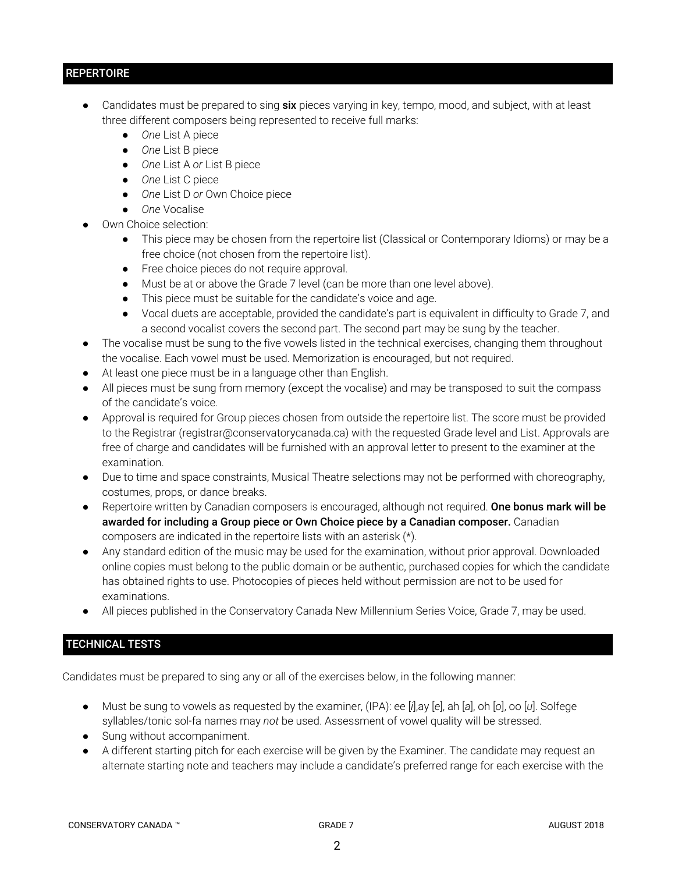# **REPERTOIRE**

- Candidates must be prepared to sing six pieces varying in key, tempo, mood, and subject, with at least three different composers being represented to receive full marks:
	- *One* List A piece
	- *One* List B piece
	- *One* List A *or* List B piece
	- *One* List C piece
	- *One* List D *or* Own Choice piece
	- *One* Vocalise
- Own Choice selection:
	- This piece may be chosen from the repertoire list (Classical or Contemporary Idioms) or may be a free choice (not chosen from the repertoire list).
	- Free choice pieces do not require approval.
	- Must be at or above the Grade 7 level (can be more than one level above).
	- This piece must be suitable for the candidate's voice and age.
	- Vocal duets are acceptable, provided the candidate's part is equivalent in difficulty to Grade 7, and a second vocalist covers the second part. The second part may be sung by the teacher.
- The vocalise must be sung to the five vowels listed in the technical exercises, changing them throughout the vocalise. Each vowel must be used. Memorization is encouraged, but not required.
- At least one piece must be in a language other than English.
- All pieces must be sung from memory (except the vocalise) and may be transposed to suit the compass of the candidate's voice.
- Approval is required for Group pieces chosen from outside the repertoire list. The score must be provided to the Registrar (registrar@conservatorycanada.ca) with the requested Grade level and List. Approvals are free of charge and candidates will be furnished with an approval letter to present to the examiner at the examination.
- Due to time and space constraints, Musical Theatre selections may not be performed with choreography, costumes, props, or dance breaks.
- Repertoire written by Canadian composers is encouraged, although not required. One bonus mark will be awarded for including a Group piece or Own Choice piece by a Canadian composer. Canadian composers are indicated in the repertoire lists with an asterisk (\*).
- Any standard edition of the music may be used for the examination, without prior approval. Downloaded online copies must belong to the public domain or be authentic, purchased copies for which the candidate has obtained rights to use. Photocopies of pieces held without permission are not to be used for examinations.
- All pieces published in the Conservatory Canada New Millennium Series Voice, Grade 7, may be used.

# TECHNICAL TESTS

Candidates must be prepared to sing any or all of the exercises below, in the following manner:

- Must be sung to vowels as requested by the examiner, (IPA): ee [*i*],ay [*e*], ah [*a*], oh [*o*], oo [*u*]. Solfege syllables/tonic sol-fa names may *not* be used. Assessment of vowel quality will be stressed.
- Sung without accompaniment.
- A different starting pitch for each exercise will be given by the Examiner. The candidate may request an alternate starting note and teachers may include a candidate's preferred range for each exercise with the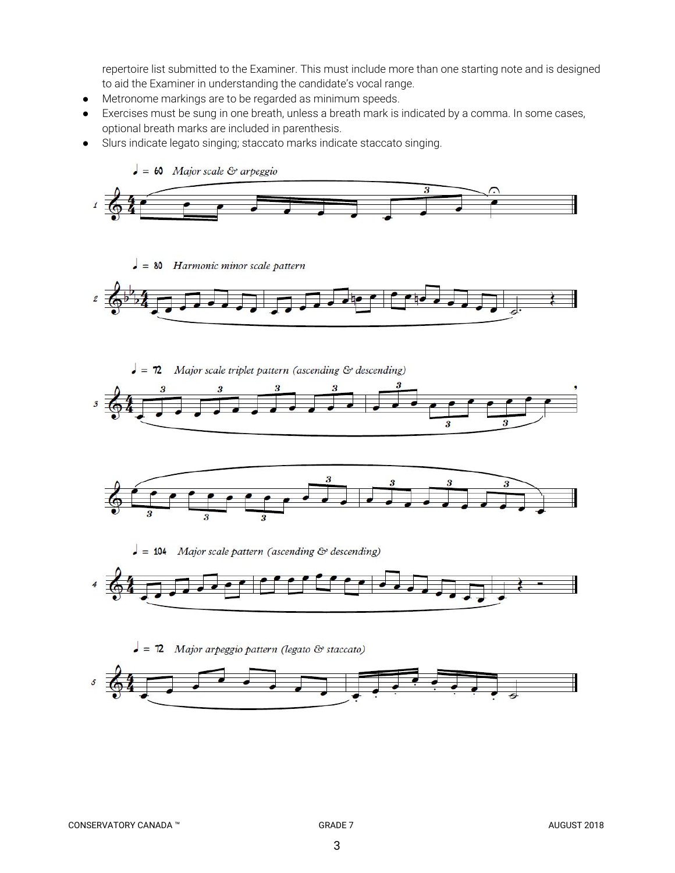repertoire list submitted to the Examiner. This must include more than one starting note and is designed to aid the Examiner in understanding the candidate's vocal range.

- Metronome markings are to be regarded as minimum speeds.
- Exercises must be sung in one breath, unless a breath mark is indicated by a comma. In some cases, optional breath marks are included in parenthesis.
- Slurs indicate legato singing; staccato marks indicate staccato singing.



 $\bullet$  = 80 Harmonic minor scale pattern



Major scale triplet pattern (ascending & descending)  $= 72$ 





 $\bullet$  = 104 Major scale pattern (ascending & descending)



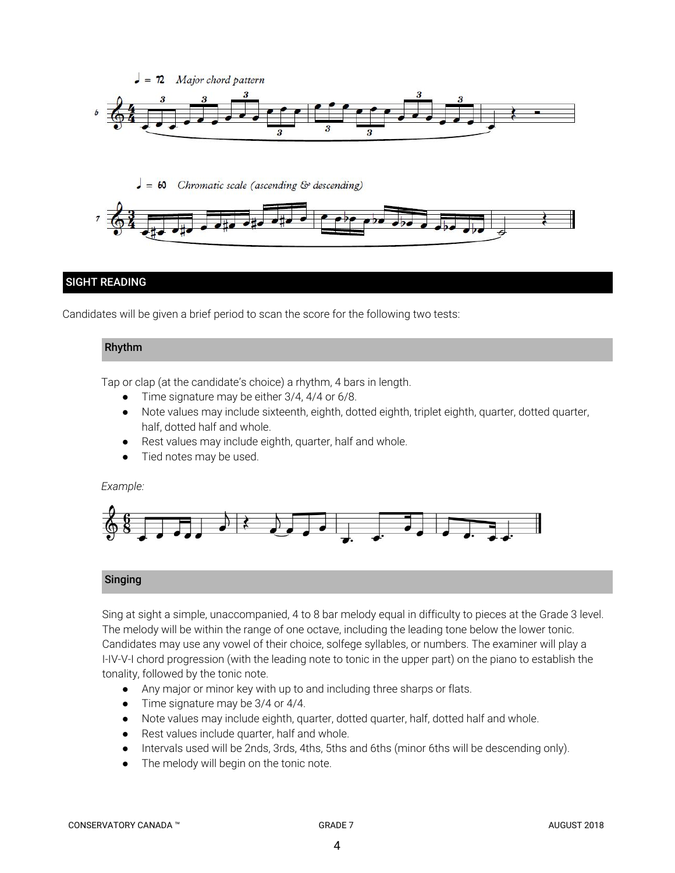

 $\bullet = 60$ Chromatic scale (ascending & descending)



# SIGHT READING

Candidates will be given a brief period to scan the score for the following two tests:

# Rhythm

Tap or clap (at the candidate's choice) a rhythm, 4 bars in length.

- Time signature may be either 3/4, 4/4 or 6/8.
- Note values may include sixteenth, eighth, dotted eighth, triplet eighth, quarter, dotted quarter, half, dotted half and whole.
- Rest values may include eighth, quarter, half and whole.
- Tied notes may be used.

# *Example:*



# Singing

Sing at sight a simple, unaccompanied, 4 to 8 bar melody equal in difficulty to pieces at the Grade 3 level. The melody will be within the range of one octave, including the leading tone below the lower tonic. Candidates may use any vowel of their choice, solfege syllables, or numbers. The examiner will play a I-IV-V-I chord progression (with the leading note to tonic in the upper part) on the piano to establish the tonality, followed by the tonic note.

- *●* Any major or minor key with up to and including three sharps or flats.
- *●* Time signature may be 3/4 or 4/4.
- Note values may include eighth, quarter, dotted quarter, half, dotted half and whole.
- Rest values include quarter, half and whole.
- Intervals used will be 2nds, 3rds, 4ths, 5ths and 6ths (minor 6ths will be descending only).
- The melody will begin on the tonic note.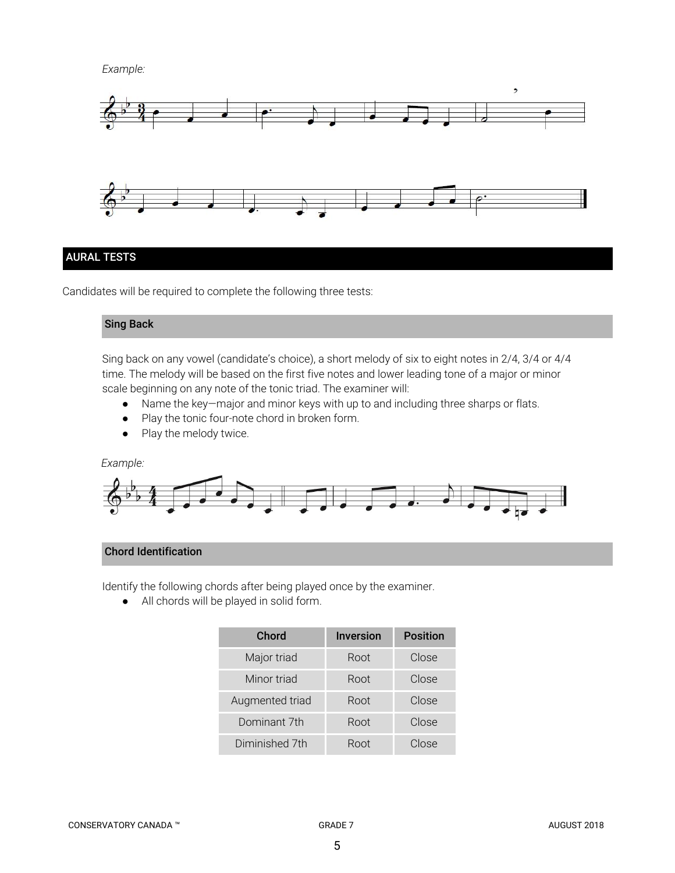*Example:*



# AURAL TESTS

Candidates will be required to complete the following three tests:

# Sing Back

Sing back on any vowel (candidate's choice), a short melody of six to eight notes in 2/4, 3/4 or 4/4 time. The melody will be based on the first five notes and lower leading tone of a major or minor scale beginning on any note of the tonic triad. The examiner will:

- Name the key—major and minor keys with up to and including three sharps or flats.
- Play the tonic four-note chord in broken form.
- Play the melody twice.

*Example:*



# Chord Identification

Identify the following chords after being played once by the examiner.

● All chords will be played in solid form.

| Chord           | <b>Inversion</b> | <b>Position</b> |
|-----------------|------------------|-----------------|
| Major triad     | Root             | Close           |
| Minor triad     | Root             | Close           |
| Augmented triad | Root             | Close           |
| Dominant 7th    | Root             | Close           |
| Diminished 7th  | Root             | Close           |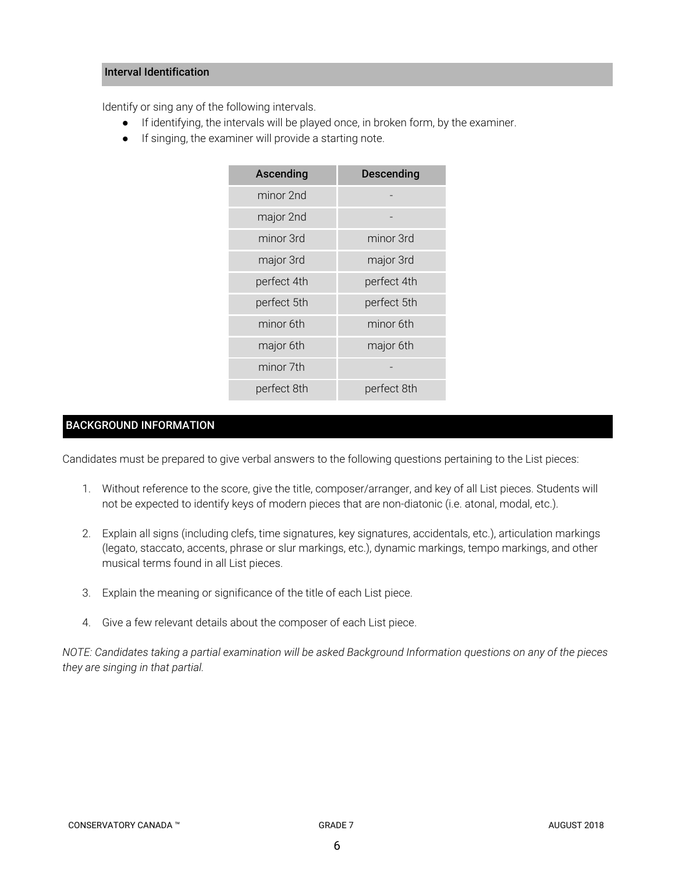# Interval Identification

Identify or sing any of the following intervals.

- If identifying, the intervals will be played once, in broken form, by the examiner.
- If singing, the examiner will provide a starting note.

| Ascending   | <b>Descending</b> |  |
|-------------|-------------------|--|
| minor 2nd   |                   |  |
| major 2nd   |                   |  |
| minor 3rd   | minor 3rd         |  |
| major 3rd   | major 3rd         |  |
| perfect 4th | perfect 4th       |  |
| perfect 5th | perfect 5th       |  |
| minor 6th   | minor 6th         |  |
| major 6th   | major 6th         |  |
| minor 7th   |                   |  |
| perfect 8th | perfect 8th       |  |

# BACKGROUND INFORMATION

Candidates must be prepared to give verbal answers to the following questions pertaining to the List pieces:

- 1. Without reference to the score, give the title, composer/arranger, and key of all List pieces. Students will not be expected to identify keys of modern pieces that are non-diatonic (i.e. atonal, modal, etc.).
- 2. Explain all signs (including clefs, time signatures, key signatures, accidentals, etc.), articulation markings (legato, staccato, accents, phrase or slur markings, etc.), dynamic markings, tempo markings, and other musical terms found in all List pieces.
- 3. Explain the meaning or significance of the title of each List piece.
- 4. Give a few relevant details about the composer of each List piece.

NOTE: Candidates taking a partial examination will be asked Background Information questions on any of the pieces *they are singing in that partial.*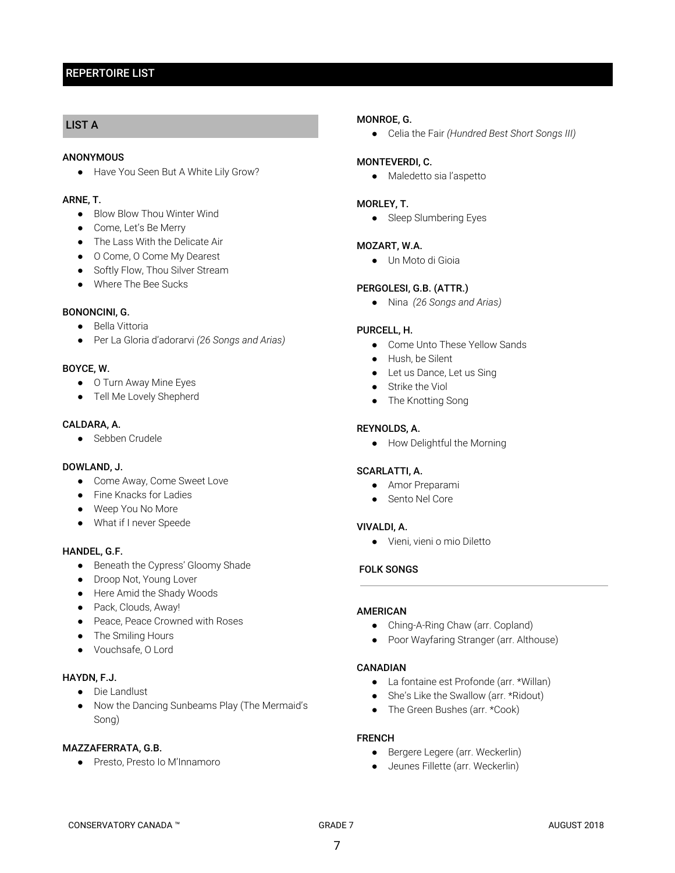# REPERTOIRE LIST

# LIST A

#### **ANONYMOUS**

● Have You Seen But A White Lily Grow?

# ARNE, T.

- Blow Blow Thou Winter Wind
- Come, Let's Be Merry
- The Lass With the Delicate Air
- O Come, O Come My Dearest
- Softly Flow, Thou Silver Stream
- Where The Bee Sucks

## BONONCINI, G.

- Bella Vittoria
- Per La Gloria d'adorarvi *(26 Songs and Arias)*

#### BOYCE, W.

- O Turn Away Mine Eyes
- Tell Me Lovely Shepherd

## CALDARA, A.

● Sebben Crudele

## DOWLAND, J.

- Come Away, Come Sweet Love
- Fine Knacks for Ladies
- Weep You No More
- What if I never Speede

#### HANDEL, G.F.

- Beneath the Cypress' Gloomy Shade
- Droop Not, Young Lover
- Here Amid the Shady Woods
- Pack, Clouds, Away!
- Peace, Peace Crowned with Roses
- The Smiling Hours
- Vouchsafe, O Lord

# HAYDN, F.J.

- Die Landlust
- Now the Dancing Sunbeams Play (The Mermaid's Song)

#### MAZZAFERRATA, G.B.

● Presto, Presto Io M'Innamoro

#### MONROE, G.

● Celia the Fair *(Hundred Best Short Songs III)*

#### MONTEVERDI, C.

● Maledetto sia l'aspetto

#### MORLEY, T.

• Sleep Slumbering Eyes

#### MOZART, W.A.

● Un Moto di Gioia

#### PERGOLESI, G.B. (ATTR.)

● Nina  *(26 Songs and Arias)*

#### PURCELL, H.

- Come Unto These Yellow Sands
- Hush, be Silent
- Let us Dance, Let us Sing
- Strike the Viol
- The Knotting Song

#### REYNOLDS, A.

● How Delightful the Morning

#### SCARLATTI, A.

- Amor Preparami
- Sento Nel Core

#### VIVALDI, A.

● Vieni, vieni o mio Diletto

## FOLK SONGS

#### AMERICAN

- Ching-A-Ring Chaw (arr. Copland)
- Poor Wayfaring Stranger (arr. Althouse)

#### CANADIAN

- La fontaine est Profonde (arr. \*Willan)
- She's Like the Swallow (arr. \*Ridout)
- The Green Bushes (arr. \*Cook)

## FRENCH

- Bergere Legere (arr. Weckerlin)
- Jeunes Fillette (arr. Weckerlin)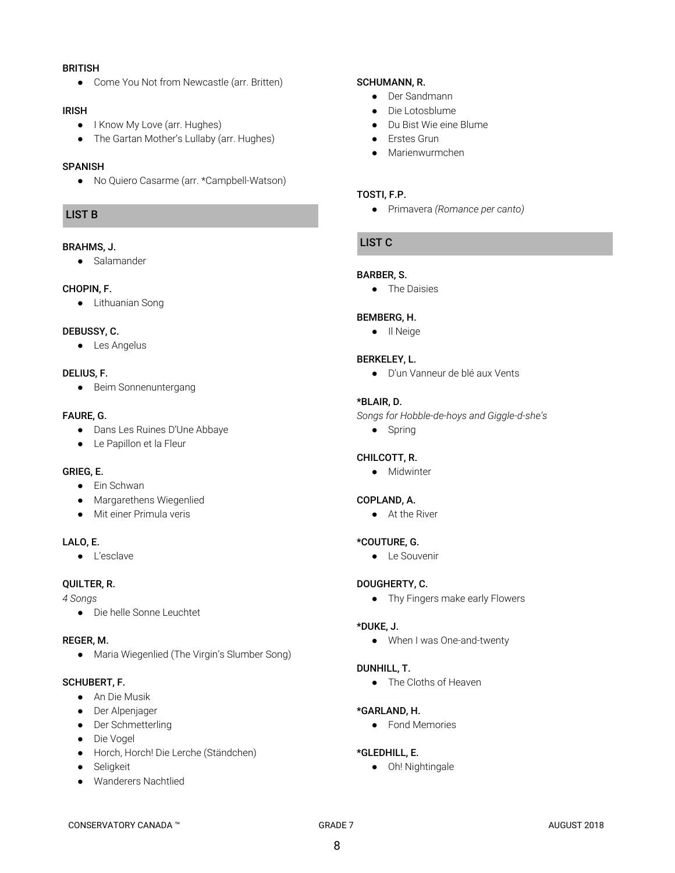#### BRITISH

● Come You Not from Newcastle (arr. Britten)

#### IRISH

- I Know My Love (arr. Hughes)
- The Gartan Mother's Lullaby (arr. Hughes)

## **SPANISH**

● No Quiero Casarme (arr. \*Campbell-Watson)

# LIST B

## BRAHMS, J.

● Salamander

#### CHOPIN, F.

● Lithuanian Song

# DEBUSSY, C.

● Les Angelus

# DELIUS, F.

● Beim Sonnenuntergang

# FAURE, G.

- Dans Les Ruines D'Une Abbaye
- Le Papillon et la Fleur

## GRIEG, E.

- Ein Schwan
- Margarethens Wiegenlied
- Mit einer Primula veris

## LALO, E.

● L'esclave

## QUILTER, R.

*4 Songs*

● Die helle Sonne Leuchtet

## REGER, M.

● Maria Wiegenlied (The Virgin's Slumber Song)

## SCHUBERT, F.

- An Die Musik
- Der Alpenjager
- Der Schmetterling
- Die Vogel
- Horch, Horch! Die Lerche (Ständchen)
- Seligkeit
- Wanderers Nachtlied

# SCHUMANN, R.

- Der Sandmann
- Die Lotosblume
- Du Bist Wie eine Blume
- Erstes Grun
- Marienwurmchen

## TOSTI, F.P.

● Primavera *(Romance per canto)*

# LIST C

# BARBER, S.

● The Daisies

# BEMBERG, H.

● Il Neige

# BERKELEY, L.

● D'un Vanneur de blé aux Vents

# \*BLAIR, D.

- *Songs for Hobble-de-hoys and Giggle-d-she's*
	- Spring

# CHILCOTT, R.

● Midwinter

# COPLAND, A.

● At the River

# \*COUTURE, G.

● Le Souvenir

## DOUGHERTY, C.

● Thy Fingers make early Flowers

## \*DUKE, J.

● When I was One-and-twenty

## DUNHILL, T.

● The Cloths of Heaven

## \*GARLAND, H.

● Fond Memories

## \*GLEDHILL, E.

● Oh! Nightingale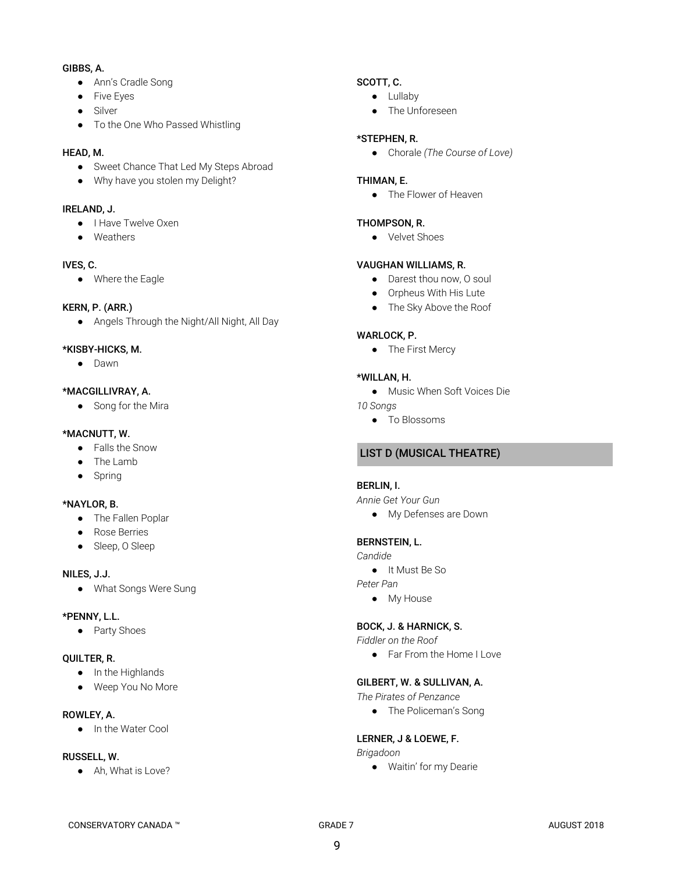# GIBBS, A.

- Ann's Cradle Song
- Five Eyes
- Silver
- To the One Who Passed Whistling

# HEAD, M.

- Sweet Chance That Led My Steps Abroad
- Why have you stolen my Delight?

## IRELAND, J.

- I Have Twelve Oxen
- Weathers

# IVES, C.

● Where the Eagle

# KERN, P. (ARR.)

● Angels Through the Night/All Night, All Day

# \*KISBY-HICKS, M.

● Dawn

# \*MACGILLIVRAY, A.

● Song for the Mira

# \*MACNUTT, W.

- Falls the Snow
- The Lamb
- Spring

# \*NAYLOR, B.

- The Fallen Poplar
- Rose Berries
- Sleep, O Sleep

## NILES, J.J.

● What Songs Were Sung

## \*PENNY, L.L.

● Party Shoes

## QUILTER, R.

- In the Highlands
- Weep You No More

# ROWLEY, A.

● In the Water Cool

# RUSSELL, W.

● Ah, What is Love?

# SCOTT, C.

- Lullaby
- The Unforeseen

# \*STEPHEN, R.

● Chorale *(The Course of Love)*

# THIMAN, E.

● The Flower of Heaven

# THOMPSON, R.

● Velvet Shoes

## VAUGHAN WILLIAMS, R.

- Darest thou now, O soul
- Orpheus With His Lute
- The Sky Above the Roof

# WARLOCK, P.

● The First Mercy

## \*WILLAN, H.

- Music When Soft Voices Die
- *10 Songs*
	- To Blossoms

# LIST D (MUSICAL THEATRE)

## BERLIN, I.

*Annie Get Your Gun*

● My Defenses are Down

## BERNSTEIN, L.

*Candide*

● It Must Be So

*Peter Pan*

● My House

## BOCK, J. & HARNICK, S.

*Fiddler on the Roof*

● Far From the Home I Love

# GILBERT, W. & SULLIVAN, A.

*The Pirates of Penzance*

● The Policeman's Song

## LERNER, J & LOEWE, F.

*Brigadoon*

● Waitin' for my Dearie